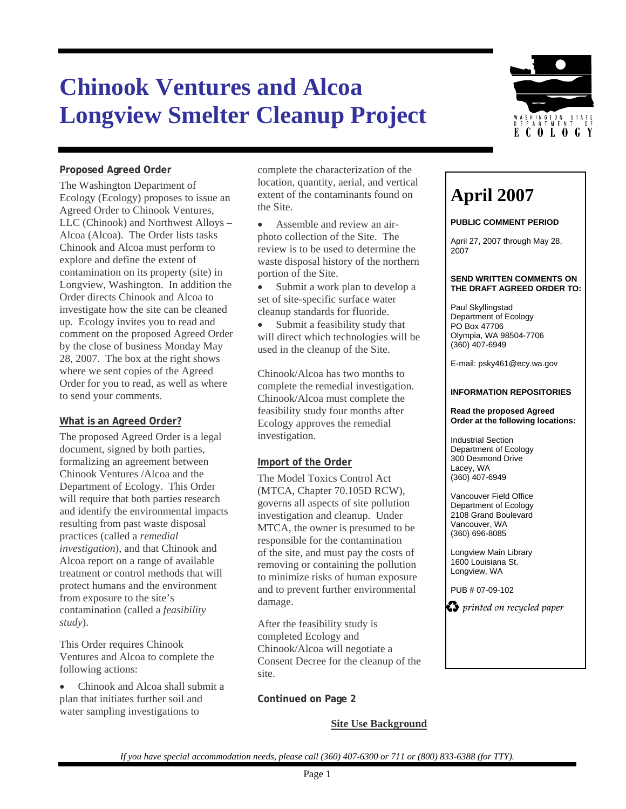# **Chinook Ventures and Alcoa Longview Smelter Cleanup Project**



### **Proposed Agreed Order**

The Washington Department of Ecology (Ecology) proposes to issue an Agreed Order to Chinook Ventures, LLC (Chinook) and Northwest Alloys – Alcoa (Alcoa). The Order lists tasks Chinook and Alcoa must perform to explore and define the extent of contamination on its property (site) in Longview, Washington. In addition the Order directs Chinook and Alcoa to investigate how the site can be cleaned up. Ecology invites you to read and comment on the proposed Agreed Order by the close of business Monday May 28, 2007. The box at the right shows where we sent copies of the Agreed Order for you to read, as well as where to send your comments.

### **What is an Agreed Order?**

The proposed Agreed Order is a legal document, signed by both parties, formalizing an agreement between Chinook Ventures /Alcoa and the Department of Ecology. This Order will require that both parties research and identify the environmental impacts resulting from past waste disposal practices (called a *remedial investigation*), and that Chinook and Alcoa report on a range of available treatment or control methods that will protect humans and the environment from exposure to the site's contamination (called a *feasibility study*).

This Order requires Chinook Ventures and Alcoa to complete the following actions:

• Chinook and Alcoa shall submit a plan that initiates further soil and water sampling investigations to

complete the characterization of the location, quantity, aerial, and vertical extent of the contaminants found on **April 2007**<br>the Site.

- Assemble and review an airphoto collection of the Site. The review is to be used to determine the waste disposal history of the northern portion of the Site.
- Submit a work plan to develop a set of site-specific surface water cleanup standards for fluoride. Paul Skyllingstad

Submit a feasibility study that will direct which technologies will be used in the cleanup of the Site.

Chinook/Alcoa has two months to complete the remedial investigation. Chinook/Alcoa must complete the feasibility study four months after Ecology approves the remedial investigation.

### **Import of the Order Import of the Order** Lacey, WA

The Model Toxics Control Act (MTCA, Chapter 70.105D RCW), Vancouver Field Office<br>governs all aspects of site pollution investigation and cleanup. Under MTCA, the owner is presumed to be responsible for the contamination of the site, and must pay the costs of removing or containing the pollution to minimize risks of human exposure and to prevent further environmental damage.

After the feasibility study is completed Ecology and Chinook/Alcoa will negotiate a Consent Decree for the cleanup of the site.

**Continued on Page 2** 

### **Site Use Background**

### **PUBLIC COMMENT PERIOD**

April 27, 2007 through May 28, 2007

## **SEND WRITTEN COMMENTS ON**

Department of Ecology PO Box 47706 Olympia, WA 98504-7706 (360) 407-6949

E-mail: psky461@ecy.wa.gov

### **INFORMATION REPOSITORIES**

#### **Read the proposed Agreed Order at the following locations:**

Industrial Section Department of Ecology<br>300 Desmond Drive (360) 407-6949

Department of Ecology 2108 Grand Boulevard Vancouver, WA (360) 696-8085

Longview Main Library 1600 Louisiana St. Longview, WA

PUB # 07-09-102

 $\bullet$  printed on recycled paper